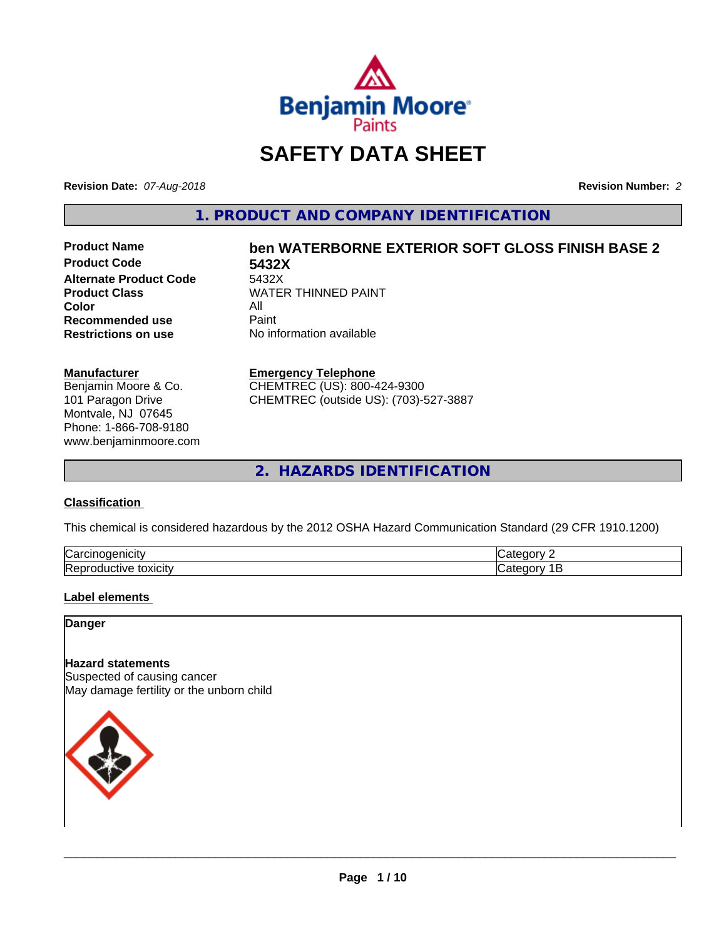

## **SAFETY DATA SHEET**

**Revision Date:** *07-Aug-2018* **Revision Number:** *2*

**1. PRODUCT AND COMPANY IDENTIFICATION**

**Product Code 5432X Alternate Product Code**<br>Product Class **Color** All<br> **Recommended use** Paint **Recommended use**<br>Restrictions on use

# **Product Name ben WATERBORNE EXTERIOR SOFT GLOSS FINISH BASE 2**

**WATER THINNED PAINT No information available** 

#### **Manufacturer**

Benjamin Moore & Co. 101 Paragon Drive Montvale, NJ 07645 Phone: 1-866-708-9180 www.benjaminmoore.com

#### **Emergency Telephone**

CHEMTREC (US): 800-424-9300 CHEMTREC (outside US): (703)-527-3887

**2. HAZARDS IDENTIFICATION**

#### **Classification**

This chemical is considered hazardous by the 2012 OSHA Hazard Communication Standard (29 CFR 1910.1200)

| ∽<br>/Car<br>110       | "<br>$  -$ |
|------------------------|------------|
| lRer<br>.<br>- XICIIV. | $\epsilon$ |

#### **Label elements**

**Danger**

#### **Hazard statements**

Suspected of causing cancer May damage fertility or the unborn child

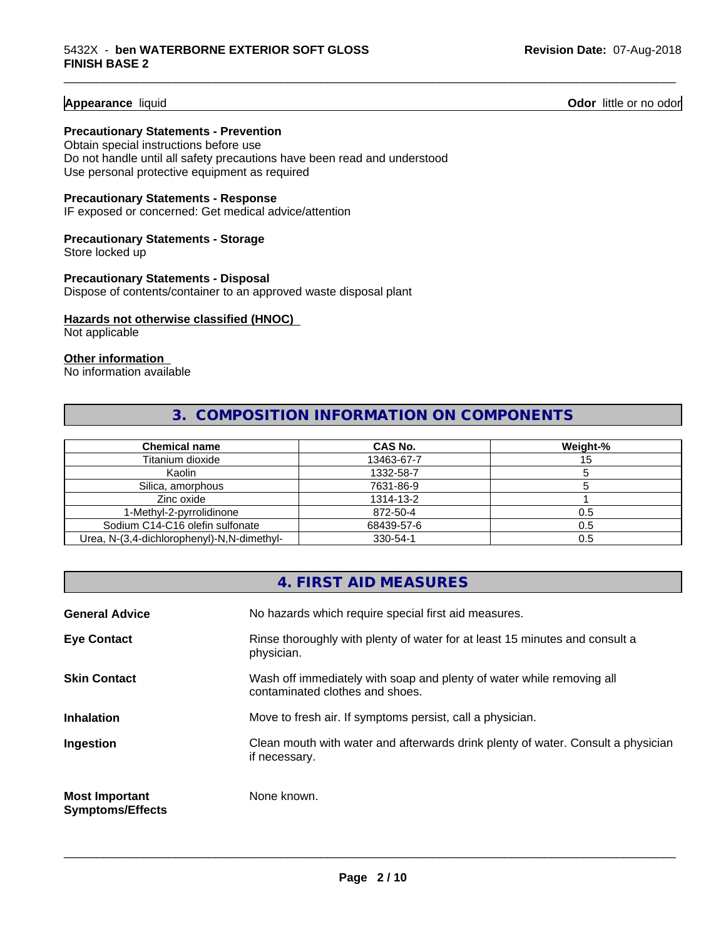**Appearance** liquid **Odor 11** Odor little or no odor

#### **Precautionary Statements - Prevention**

Obtain special instructions before use Do not handle until all safety precautions have been read and understood Use personal protective equipment as required

#### **Precautionary Statements - Response**

IF exposed or concerned: Get medical advice/attention

#### **Precautionary Statements - Storage**

Store locked up

#### **Precautionary Statements - Disposal** Dispose of contents/container to an approved waste disposal plant

#### **Hazards not otherwise classified (HNOC)**

Not applicable

#### **Other information**

No information available

#### **3. COMPOSITION INFORMATION ON COMPONENTS**

\_\_\_\_\_\_\_\_\_\_\_\_\_\_\_\_\_\_\_\_\_\_\_\_\_\_\_\_\_\_\_\_\_\_\_\_\_\_\_\_\_\_\_\_\_\_\_\_\_\_\_\_\_\_\_\_\_\_\_\_\_\_\_\_\_\_\_\_\_\_\_\_\_\_\_\_\_\_\_\_\_\_\_\_\_\_\_\_\_\_\_\_\_

| <b>Chemical name</b>                       | CAS No.    | Weight-% |
|--------------------------------------------|------------|----------|
| Titanium dioxide                           | 13463-67-7 | 15       |
| Kaolin                                     | 1332-58-7  |          |
| Silica, amorphous                          | 7631-86-9  |          |
| Zinc oxide                                 | 1314-13-2  |          |
| 1-Methyl-2-pyrrolidinone                   | 872-50-4   | 0.5      |
| Sodium C14-C16 olefin sulfonate            | 68439-57-6 | 0.5      |
| Urea, N-(3,4-dichlorophenyl)-N,N-dimethyl- | 330-54-1   | 0.5      |

|                                                  | 4. FIRST AID MEASURES                                                                                    |
|--------------------------------------------------|----------------------------------------------------------------------------------------------------------|
| <b>General Advice</b>                            | No hazards which require special first aid measures.                                                     |
| <b>Eye Contact</b>                               | Rinse thoroughly with plenty of water for at least 15 minutes and consult a<br>physician.                |
| <b>Skin Contact</b>                              | Wash off immediately with soap and plenty of water while removing all<br>contaminated clothes and shoes. |
| <b>Inhalation</b>                                | Move to fresh air. If symptoms persist, call a physician.                                                |
| Ingestion                                        | Clean mouth with water and afterwards drink plenty of water. Consult a physician<br>if necessary.        |
| <b>Most Important</b><br><b>Symptoms/Effects</b> | None known.                                                                                              |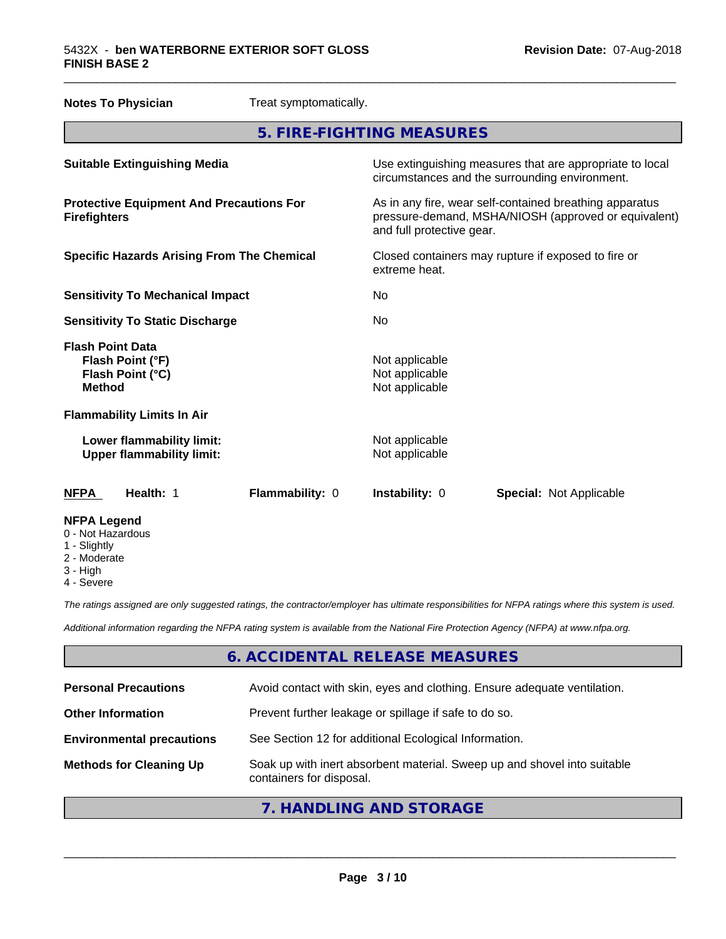| <b>Notes To Physician</b>                                                        | Treat symptomatically. |                                                                                                            |  |                                                                                                                 |
|----------------------------------------------------------------------------------|------------------------|------------------------------------------------------------------------------------------------------------|--|-----------------------------------------------------------------------------------------------------------------|
|                                                                                  |                        | 5. FIRE-FIGHTING MEASURES                                                                                  |  |                                                                                                                 |
| <b>Suitable Extinguishing Media</b>                                              |                        | Use extinguishing measures that are appropriate to local<br>circumstances and the surrounding environment. |  |                                                                                                                 |
| <b>Protective Equipment And Precautions For</b><br><b>Firefighters</b>           |                        | and full protective gear.                                                                                  |  | As in any fire, wear self-contained breathing apparatus<br>pressure-demand, MSHA/NIOSH (approved or equivalent) |
| <b>Specific Hazards Arising From The Chemical</b>                                |                        | Closed containers may rupture if exposed to fire or<br>extreme heat.                                       |  |                                                                                                                 |
| <b>Sensitivity To Mechanical Impact</b>                                          |                        | No                                                                                                         |  |                                                                                                                 |
| <b>Sensitivity To Static Discharge</b>                                           |                        | No                                                                                                         |  |                                                                                                                 |
| <b>Flash Point Data</b><br>Flash Point (°F)<br>Flash Point (°C)<br><b>Method</b> |                        | Not applicable<br>Not applicable<br>Not applicable                                                         |  |                                                                                                                 |
| <b>Flammability Limits In Air</b>                                                |                        |                                                                                                            |  |                                                                                                                 |
| Lower flammability limit:<br><b>Upper flammability limit:</b>                    |                        | Not applicable<br>Not applicable                                                                           |  |                                                                                                                 |
| <b>NFPA</b><br>Health: 1                                                         | Flammability: 0        | Instability: 0                                                                                             |  | <b>Special: Not Applicable</b>                                                                                  |
| <b>NFPA Legend</b><br>0 - Not Hazardous<br>1 - Slightly                          |                        |                                                                                                            |  |                                                                                                                 |

\_\_\_\_\_\_\_\_\_\_\_\_\_\_\_\_\_\_\_\_\_\_\_\_\_\_\_\_\_\_\_\_\_\_\_\_\_\_\_\_\_\_\_\_\_\_\_\_\_\_\_\_\_\_\_\_\_\_\_\_\_\_\_\_\_\_\_\_\_\_\_\_\_\_\_\_\_\_\_\_\_\_\_\_\_\_\_\_\_\_\_\_\_

- Slightly
- 2 Moderate
- 3 High
- 4 Severe

*The ratings assigned are only suggested ratings, the contractor/employer has ultimate responsibilities for NFPA ratings where this system is used.*

*Additional information regarding the NFPA rating system is available from the National Fire Protection Agency (NFPA) at www.nfpa.org.*

#### **6. ACCIDENTAL RELEASE MEASURES**

| <b>Personal Precautions</b>      | Avoid contact with skin, eyes and clothing. Ensure adequate ventilation.                             |
|----------------------------------|------------------------------------------------------------------------------------------------------|
| <b>Other Information</b>         | Prevent further leakage or spillage if safe to do so.                                                |
| <b>Environmental precautions</b> | See Section 12 for additional Ecological Information.                                                |
| <b>Methods for Cleaning Up</b>   | Soak up with inert absorbent material. Sweep up and shovel into suitable<br>containers for disposal. |
|                                  |                                                                                                      |

#### **7. HANDLING AND STORAGE**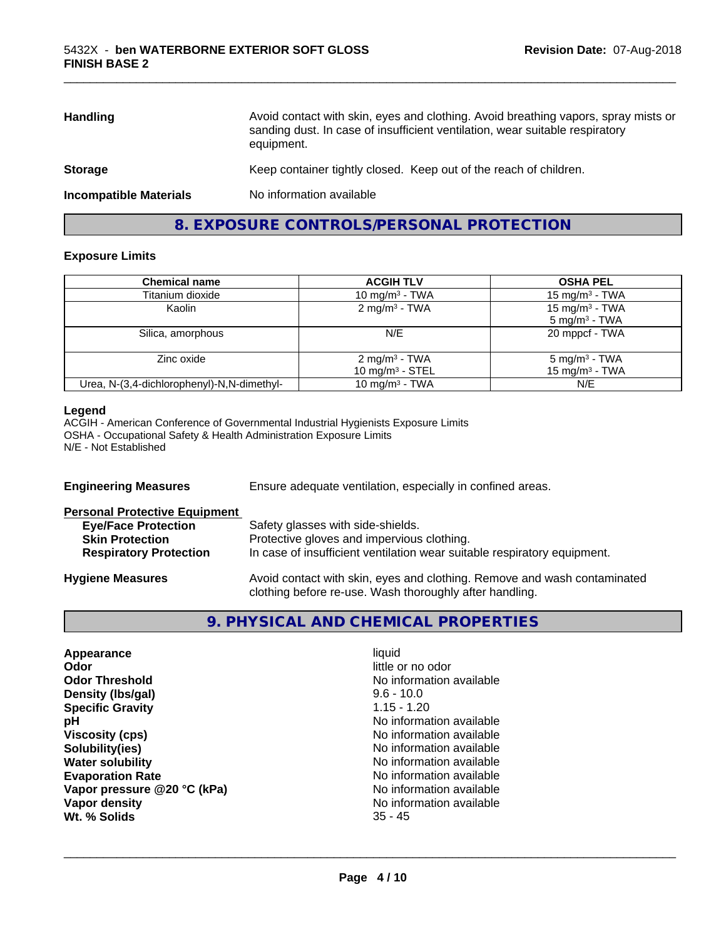| <b>Handling</b>               | Avoid contact with skin, eyes and clothing. Avoid breathing vapors, spray mists or<br>sanding dust. In case of insufficient ventilation, wear suitable respiratory<br>equipment. |  |
|-------------------------------|----------------------------------------------------------------------------------------------------------------------------------------------------------------------------------|--|
| <b>Storage</b>                | Keep container tightly closed. Keep out of the reach of children.                                                                                                                |  |
| <b>Incompatible Materials</b> | No information available                                                                                                                                                         |  |

\_\_\_\_\_\_\_\_\_\_\_\_\_\_\_\_\_\_\_\_\_\_\_\_\_\_\_\_\_\_\_\_\_\_\_\_\_\_\_\_\_\_\_\_\_\_\_\_\_\_\_\_\_\_\_\_\_\_\_\_\_\_\_\_\_\_\_\_\_\_\_\_\_\_\_\_\_\_\_\_\_\_\_\_\_\_\_\_\_\_\_\_\_

#### **8. EXPOSURE CONTROLS/PERSONAL PROTECTION**

#### **Exposure Limits**

| <b>Chemical name</b>                       | <b>ACGIH TLV</b>          | <b>OSHA PEL</b>            |
|--------------------------------------------|---------------------------|----------------------------|
| Titanium dioxide                           | 10 mg/m $3$ - TWA         | 15 mg/m $3$ - TWA          |
| Kaolin                                     | $2 \text{ mg/m}^3$ - TWA  | 15 mg/m <sup>3</sup> - TWA |
|                                            |                           | $5 \text{ mg/m}^3$ - TWA   |
| Silica, amorphous                          | N/E                       | 20 mppcf - TWA             |
| Zinc oxide                                 | 2 mg/m <sup>3</sup> - TWA | $5 \text{ mg/m}^3$ - TWA   |
|                                            | 10 mg/m $3 -$ STEL        | 15 mg/m $3$ - TWA          |
| Urea, N-(3,4-dichlorophenyl)-N,N-dimethyl- | 10 mg/m $3$ - TWA         | N/E                        |

#### **Legend**

ACGIH - American Conference of Governmental Industrial Hygienists Exposure Limits OSHA - Occupational Safety & Health Administration Exposure Limits N/E - Not Established

| <b>Engineering Measures</b>          | Ensure adequate ventilation, especially in confined areas.                                                                          |  |  |
|--------------------------------------|-------------------------------------------------------------------------------------------------------------------------------------|--|--|
| <b>Personal Protective Equipment</b> |                                                                                                                                     |  |  |
| <b>Eye/Face Protection</b>           | Safety glasses with side-shields.                                                                                                   |  |  |
| <b>Skin Protection</b>               | Protective gloves and impervious clothing.                                                                                          |  |  |
| <b>Respiratory Protection</b>        | In case of insufficient ventilation wear suitable respiratory equipment.                                                            |  |  |
| <b>Hygiene Measures</b>              | Avoid contact with skin, eyes and clothing. Remove and wash contaminated<br>clothing before re-use. Wash thoroughly after handling. |  |  |

#### **9. PHYSICAL AND CHEMICAL PROPERTIES**

| Appearance                  | liquid                   |
|-----------------------------|--------------------------|
| Odor                        | little or no odor        |
| <b>Odor Threshold</b>       | No information available |
| Density (Ibs/gal)           | $9.6 - 10.0$             |
| <b>Specific Gravity</b>     | $1.15 - 1.20$            |
| рH                          | No information available |
| <b>Viscosity (cps)</b>      | No information available |
| Solubility(ies)             | No information available |
| <b>Water solubility</b>     | No information available |
| <b>Evaporation Rate</b>     | No information available |
| Vapor pressure @20 °C (kPa) | No information available |
| Vapor density               | No information available |
| Wt. % Solids                | $35 - 45$                |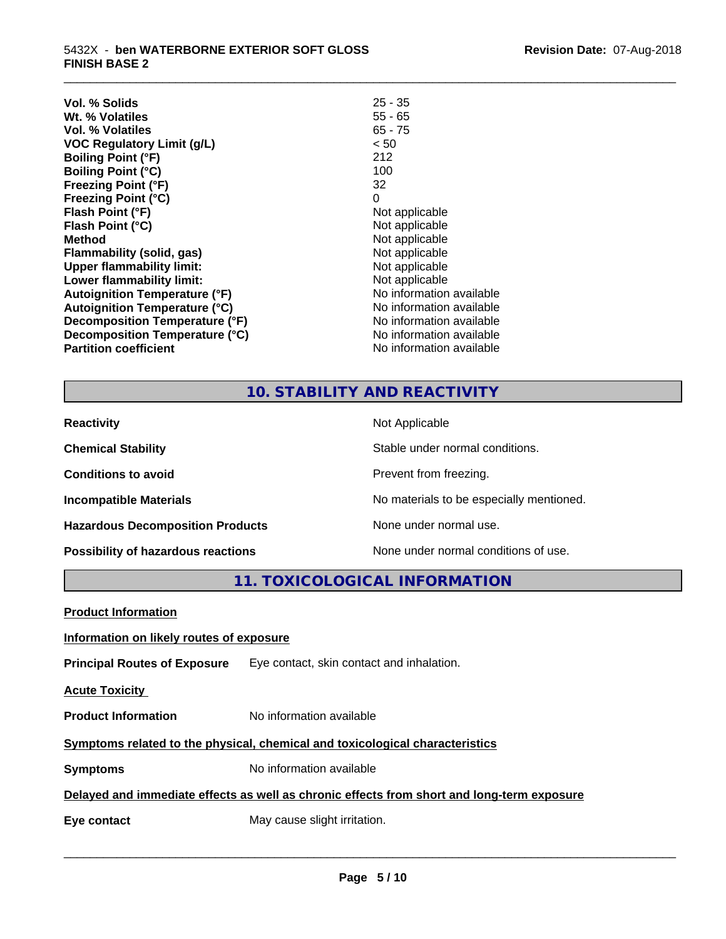| Vol. % Solids                        | $25 - 35$                |
|--------------------------------------|--------------------------|
| Wt. % Volatiles                      | 55 - 65                  |
| Vol. % Volatiles                     | $65 - 75$                |
| VOC Regulatory Limit (g/L)           | < 50                     |
| <b>Boiling Point (°F)</b>            | 212                      |
| <b>Boiling Point (°C)</b>            | 100                      |
| <b>Freezing Point (°F)</b>           | 32                       |
| <b>Freezing Point (°C)</b>           | 0                        |
| Flash Point (°F)                     | Not applicable           |
| Flash Point (°C)                     | Not applicable           |
| <b>Method</b>                        | Not applicable           |
| Flammability (solid, gas)            | Not applicable           |
| <b>Upper flammability limit:</b>     | Not applicable           |
| Lower flammability limit:            | Not applicable           |
| <b>Autoignition Temperature (°F)</b> | No information available |
| <b>Autoignition Temperature (°C)</b> | No information available |
| Decomposition Temperature (°F)       | No information available |
| Decomposition Temperature (°C)       | No information available |
| <b>Partition coefficient</b>         | No information available |
|                                      |                          |

### **10. STABILITY AND REACTIVITY**

\_\_\_\_\_\_\_\_\_\_\_\_\_\_\_\_\_\_\_\_\_\_\_\_\_\_\_\_\_\_\_\_\_\_\_\_\_\_\_\_\_\_\_\_\_\_\_\_\_\_\_\_\_\_\_\_\_\_\_\_\_\_\_\_\_\_\_\_\_\_\_\_\_\_\_\_\_\_\_\_\_\_\_\_\_\_\_\_\_\_\_\_\_

| <b>Reactivity</b>                         | Not Applicable                           |
|-------------------------------------------|------------------------------------------|
| <b>Chemical Stability</b>                 | Stable under normal conditions.          |
| <b>Conditions to avoid</b>                | Prevent from freezing.                   |
| <b>Incompatible Materials</b>             | No materials to be especially mentioned. |
| <b>Hazardous Decomposition Products</b>   | None under normal use.                   |
| <b>Possibility of hazardous reactions</b> | None under normal conditions of use.     |

**11. TOXICOLOGICAL INFORMATION**

| <b>Product Information</b>                                                                 |                                                                               |  |  |
|--------------------------------------------------------------------------------------------|-------------------------------------------------------------------------------|--|--|
| Information on likely routes of exposure                                                   |                                                                               |  |  |
|                                                                                            | <b>Principal Routes of Exposure</b> Eye contact, skin contact and inhalation. |  |  |
| <b>Acute Toxicity</b>                                                                      |                                                                               |  |  |
| <b>Product Information</b>                                                                 | No information available                                                      |  |  |
| Symptoms related to the physical, chemical and toxicological characteristics               |                                                                               |  |  |
| <b>Symptoms</b>                                                                            | No information available                                                      |  |  |
| Delayed and immediate effects as well as chronic effects from short and long-term exposure |                                                                               |  |  |
| Eye contact                                                                                | May cause slight irritation.                                                  |  |  |
|                                                                                            |                                                                               |  |  |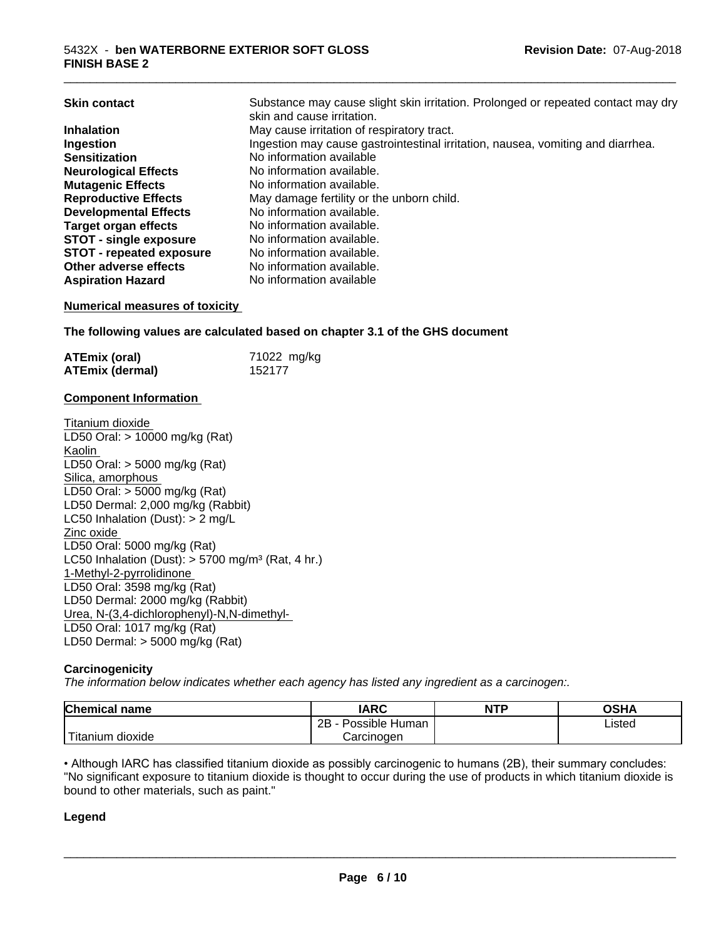| <b>Skin contact</b>             | Substance may cause slight skin irritation. Prolonged or repeated contact may dry<br>skin and cause irritation. |
|---------------------------------|-----------------------------------------------------------------------------------------------------------------|
| <b>Inhalation</b>               | May cause irritation of respiratory tract.                                                                      |
| Ingestion                       | Ingestion may cause gastrointestinal irritation, nausea, vomiting and diarrhea.                                 |
| <b>Sensitization</b>            | No information available                                                                                        |
| <b>Neurological Effects</b>     | No information available.                                                                                       |
| <b>Mutagenic Effects</b>        | No information available.                                                                                       |
| <b>Reproductive Effects</b>     | May damage fertility or the unborn child.                                                                       |
| <b>Developmental Effects</b>    | No information available.                                                                                       |
| <b>Target organ effects</b>     | No information available.                                                                                       |
| <b>STOT - single exposure</b>   | No information available.                                                                                       |
| <b>STOT - repeated exposure</b> | No information available.                                                                                       |
| Other adverse effects           | No information available.                                                                                       |
| <b>Aspiration Hazard</b>        | No information available                                                                                        |

#### **Numerical measures of toxicity**

**The following values are calculated based on chapter 3.1 of the GHS document**

| <b>ATEmix (oral)</b> | 71022 mg/kg |
|----------------------|-------------|
| ATEmix (dermal)      | 152177      |

#### **Component Information**

Titanium dioxide LD50 Oral: > 10000 mg/kg (Rat) Kaolin LD50 Oral: > 5000 mg/kg (Rat) Silica, amorphous LD50 Oral: > 5000 mg/kg (Rat) LD50 Dermal: 2,000 mg/kg (Rabbit) LC50 Inhalation (Dust): > 2 mg/L Zinc oxide LD50 Oral: 5000 mg/kg (Rat) LC50 Inhalation (Dust):  $> 5700$  mg/m<sup>3</sup> (Rat, 4 hr.) 1-Methyl-2-pyrrolidinone LD50 Oral: 3598 mg/kg (Rat) LD50 Dermal: 2000 mg/kg (Rabbit) Urea, N-(3,4-dichlorophenyl)-N,N-dimethyl- LD50 Oral: 1017 mg/kg (Rat) LD50 Dermal: > 5000 mg/kg (Rat)

#### **Carcinogenicity**

*The information below indicateswhether each agency has listed any ingredient as a carcinogen:.*

| Chemical<br>name       | <b>IARC</b>                  | <b>NTP</b> | OSHA   |
|------------------------|------------------------------|------------|--------|
|                        | .<br>2B<br>Possible<br>Human |            | ∟isted |
| n dioxide<br>l itanıum | Carcinoɑen                   |            |        |

• Although IARC has classified titanium dioxide as possibly carcinogenic to humans (2B), their summary concludes: "No significant exposure to titanium dioxide is thought to occur during the use of products in which titanium dioxide is bound to other materials, such as paint."

#### **Legend**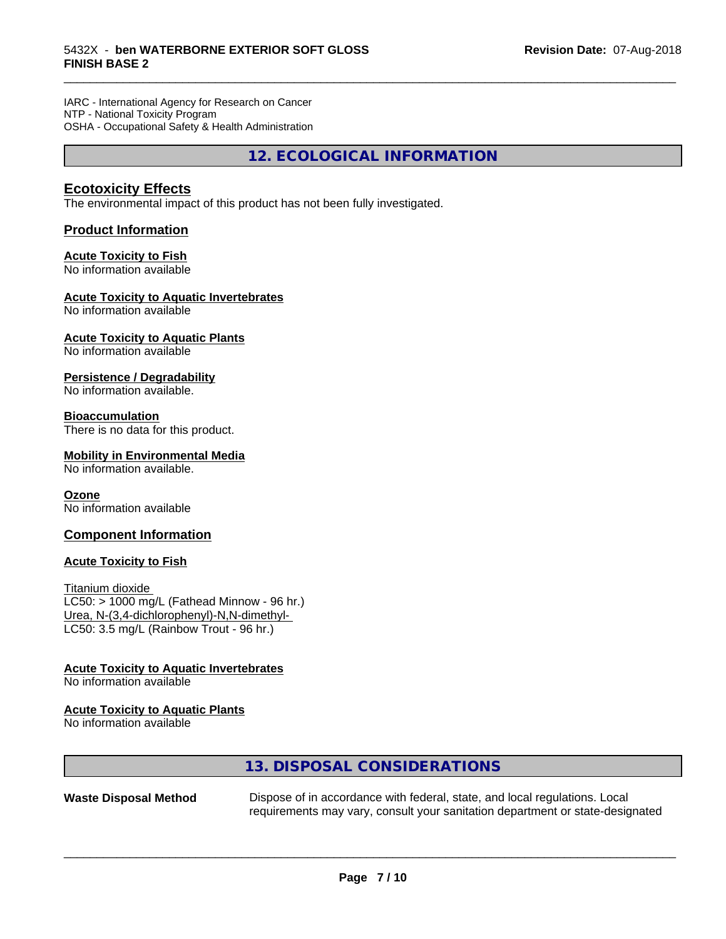IARC - International Agency for Research on Cancer NTP - National Toxicity Program OSHA - Occupational Safety & Health Administration

**12. ECOLOGICAL INFORMATION**

\_\_\_\_\_\_\_\_\_\_\_\_\_\_\_\_\_\_\_\_\_\_\_\_\_\_\_\_\_\_\_\_\_\_\_\_\_\_\_\_\_\_\_\_\_\_\_\_\_\_\_\_\_\_\_\_\_\_\_\_\_\_\_\_\_\_\_\_\_\_\_\_\_\_\_\_\_\_\_\_\_\_\_\_\_\_\_\_\_\_\_\_\_

#### **Ecotoxicity Effects**

The environmental impact of this product has not been fully investigated.

#### **Product Information**

#### **Acute Toxicity to Fish**

No information available

#### **Acute Toxicity to Aquatic Invertebrates**

No information available

#### **Acute Toxicity to Aquatic Plants**

No information available

#### **Persistence / Degradability**

No information available.

#### **Bioaccumulation**

There is no data for this product.

#### **Mobility in Environmental Media**

No information available.

#### **Ozone**

No information available

#### **Component Information**

#### **Acute Toxicity to Fish**

Titanium dioxide  $LC50:$  > 1000 mg/L (Fathead Minnow - 96 hr.) Urea, N-(3,4-dichlorophenyl)-N,N-dimethyl- LC50: 3.5 mg/L (Rainbow Trout - 96 hr.)

#### **Acute Toxicity to Aquatic Invertebrates**

No information available

#### **Acute Toxicity to Aquatic Plants**

No information available

#### **13. DISPOSAL CONSIDERATIONS**

**Waste Disposal Method** Dispose of in accordance with federal, state, and local regulations. Local requirements may vary, consult your sanitation department or state-designated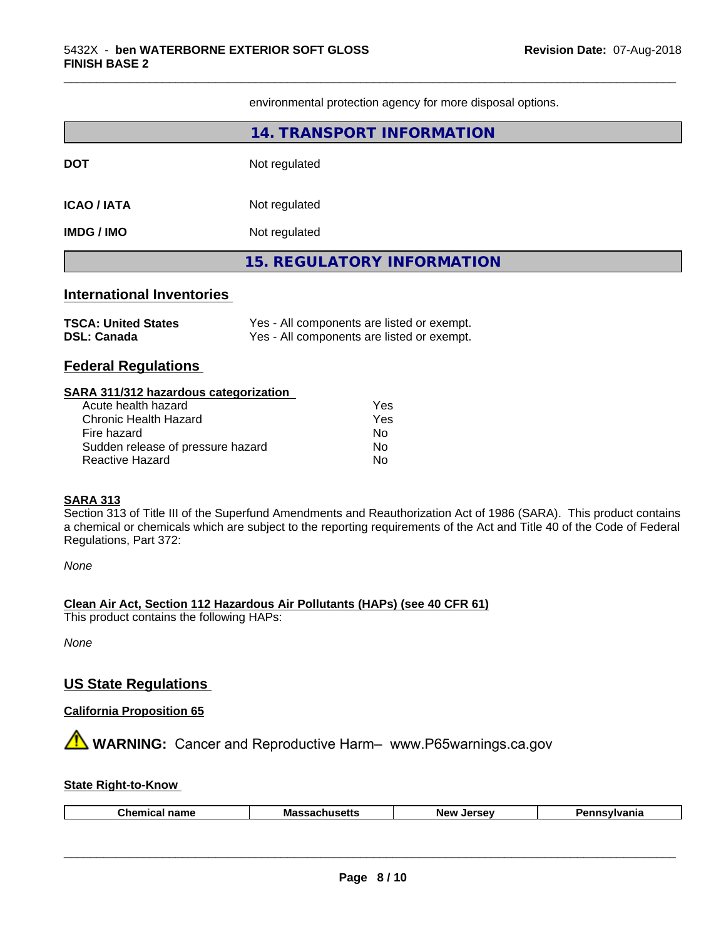environmental protection agency for more disposal options.

\_\_\_\_\_\_\_\_\_\_\_\_\_\_\_\_\_\_\_\_\_\_\_\_\_\_\_\_\_\_\_\_\_\_\_\_\_\_\_\_\_\_\_\_\_\_\_\_\_\_\_\_\_\_\_\_\_\_\_\_\_\_\_\_\_\_\_\_\_\_\_\_\_\_\_\_\_\_\_\_\_\_\_\_\_\_\_\_\_\_\_\_\_

|                                                                                                                                                                                                                     | 14. TRANSPORT INFORMATION                                                                |  |  |
|---------------------------------------------------------------------------------------------------------------------------------------------------------------------------------------------------------------------|------------------------------------------------------------------------------------------|--|--|
| <b>DOT</b>                                                                                                                                                                                                          | Not regulated                                                                            |  |  |
| <b>ICAO / IATA</b>                                                                                                                                                                                                  | Not regulated                                                                            |  |  |
| <b>IMDG / IMO</b>                                                                                                                                                                                                   | Not regulated                                                                            |  |  |
|                                                                                                                                                                                                                     | <b>15. REGULATORY INFORMATION</b>                                                        |  |  |
| <b>International Inventories</b>                                                                                                                                                                                    |                                                                                          |  |  |
| <b>TSCA: United States</b><br><b>DSL: Canada</b>                                                                                                                                                                    | Yes - All components are listed or exempt.<br>Yes - All components are listed or exempt. |  |  |
| <b>Federal Regulations</b>                                                                                                                                                                                          |                                                                                          |  |  |
| SARA 311/312 hazardous categorization<br>Acute health hazard<br>Yes<br><b>Chronic Health Hazard</b><br>Yes<br>Fire hazard<br>No.<br>Sudden release of pressure hazard<br>No.<br><b>Reactive Hazard</b><br><b>No</b> |                                                                                          |  |  |

#### **SARA 313**

Section 313 of Title III of the Superfund Amendments and Reauthorization Act of 1986 (SARA). This product contains a chemical or chemicals which are subject to the reporting requirements of the Act and Title 40 of the Code of Federal Regulations, Part 372:

*None*

#### **Clean Air Act,Section 112 Hazardous Air Pollutants (HAPs) (see 40 CFR 61)**

This product contains the following HAPs:

*None*

#### **US State Regulations**

#### **California Proposition 65**

**AVIMARNING:** Cancer and Reproductive Harm– www.P65warnings.ca.gov

#### **State Right-to-Know**

|--|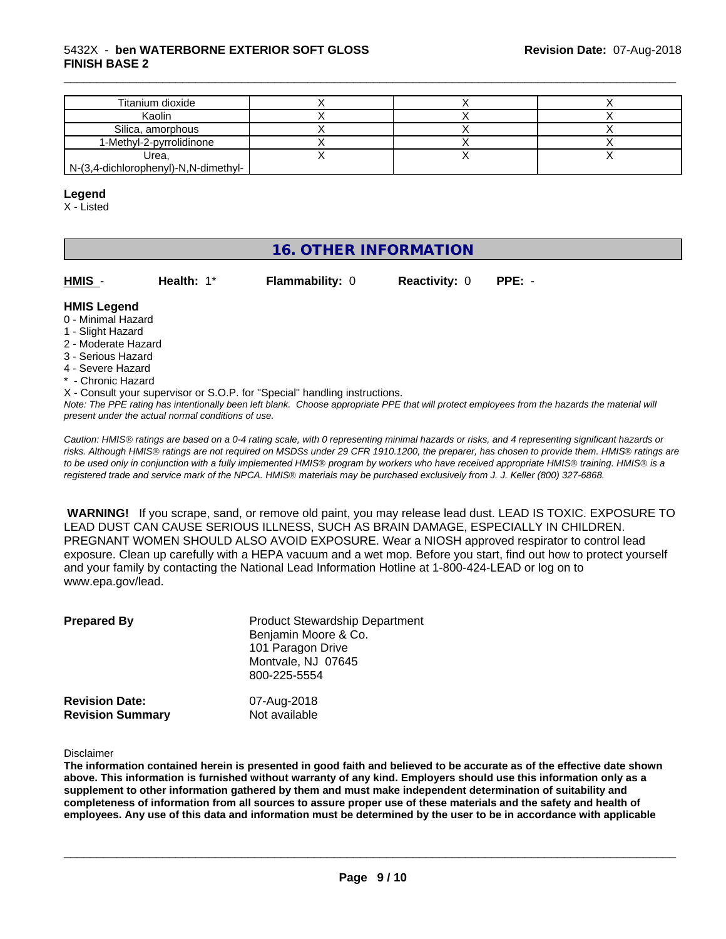#### 5432X - **ben WATERBORNE EXTERIOR SOFT GLOSS FINISH BASE 2**

| Titanium dioxide                     |  |  |
|--------------------------------------|--|--|
| Kaolin                               |  |  |
| Silica, amorphous                    |  |  |
| 1-Methyl-2-pyrrolidinone             |  |  |
| Urea,                                |  |  |
| N-(3,4-dichlorophenyl)-N,N-dimethyl- |  |  |

\_\_\_\_\_\_\_\_\_\_\_\_\_\_\_\_\_\_\_\_\_\_\_\_\_\_\_\_\_\_\_\_\_\_\_\_\_\_\_\_\_\_\_\_\_\_\_\_\_\_\_\_\_\_\_\_\_\_\_\_\_\_\_\_\_\_\_\_\_\_\_\_\_\_\_\_\_\_\_\_\_\_\_\_\_\_\_\_\_\_\_\_\_

#### **Legend**

X - Listed

#### **16. OTHER INFORMATION**

| HMIS               | Health: $1^*$ | <b>Flammability: 0</b> | <b>Reactivity: 0</b> | $PPE: -$ |
|--------------------|---------------|------------------------|----------------------|----------|
| <b>HMIS Logand</b> |               |                        |                      |          |

- **HMIS Legend** 0 - Minimal Hazard
- 1 Slight Hazard
- 2 Moderate Hazard
- 3 Serious Hazard
- 4 Severe Hazard
- \* Chronic Hazard
- X Consult your supervisor or S.O.P. for "Special" handling instructions.

*Note: The PPE rating has intentionally been left blank. Choose appropriate PPE that will protect employees from the hazards the material will present under the actual normal conditions of use.*

*Caution: HMISÒ ratings are based on a 0-4 rating scale, with 0 representing minimal hazards or risks, and 4 representing significant hazards or risks. Although HMISÒ ratings are not required on MSDSs under 29 CFR 1910.1200, the preparer, has chosen to provide them. HMISÒ ratings are to be used only in conjunction with a fully implemented HMISÒ program by workers who have received appropriate HMISÒ training. HMISÒ is a registered trade and service mark of the NPCA. HMISÒ materials may be purchased exclusively from J. J. Keller (800) 327-6868.*

 **WARNING!** If you scrape, sand, or remove old paint, you may release lead dust. LEAD IS TOXIC. EXPOSURE TO LEAD DUST CAN CAUSE SERIOUS ILLNESS, SUCH AS BRAIN DAMAGE, ESPECIALLY IN CHILDREN. PREGNANT WOMEN SHOULD ALSO AVOID EXPOSURE.Wear a NIOSH approved respirator to control lead exposure. Clean up carefully with a HEPA vacuum and a wet mop. Before you start, find out how to protect yourself and your family by contacting the National Lead Information Hotline at 1-800-424-LEAD or log on to www.epa.gov/lead.

| <b>Prepared By</b>      | <b>Product Stewardship Department</b><br>Benjamin Moore & Co.<br>101 Paragon Drive<br>Montvale, NJ 07645<br>800-225-5554 |
|-------------------------|--------------------------------------------------------------------------------------------------------------------------|
| <b>Revision Date:</b>   | 07-Aug-2018                                                                                                              |
| <b>Revision Summary</b> | Not available                                                                                                            |

#### Disclaimer

The information contained herein is presented in good faith and believed to be accurate as of the effective date shown above. This information is furnished without warranty of any kind. Employers should use this information only as a **supplement to other information gathered by them and must make independent determination of suitability and** completeness of information from all sources to assure proper use of these materials and the safety and health of employees. Any use of this data and information must be determined by the user to be in accordance with applicable